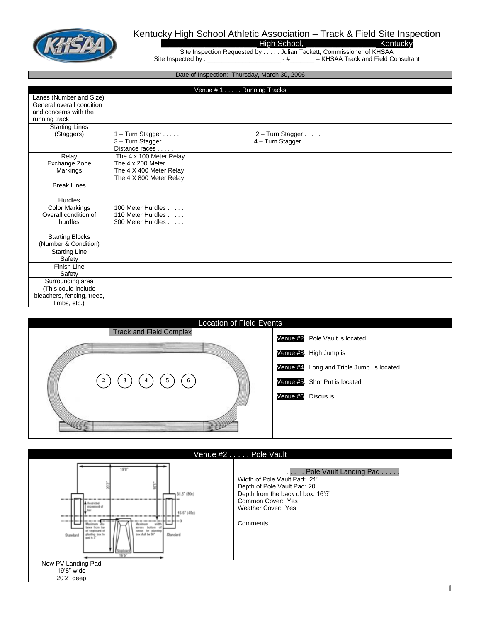

## Kentucky High School Athletic Association – Track & Field Site Inspection

\_\_\_\_\_\_\_\_\_\_\_\_\_\_\_\_\_\_\_\_\_\_\_\_\_\_\_\_\_\_\_\_ High School, \_\_\_\_\_\_\_\_\_\_\_\_\_\_\_\_\_\_\_\_\_, Kentucky

Site Inspection Requested by . . . . . Julian Tackett, Commissioner of KHSAA Site Inspected by . \_\_\_\_\_\_\_\_\_\_\_\_\_\_\_\_\_\_\_\_\_\_\_\_\_\_ - #\_\_\_\_\_\_\_\_ – KHSAA Track and Field Consultant

Date of Inspection: Thursday, March 30, 2006

|                            |                           | Venue #1 Running Tracks |  |  |  |
|----------------------------|---------------------------|-------------------------|--|--|--|
| Lanes (Number and Size)    |                           |                         |  |  |  |
| General overall condition  |                           |                         |  |  |  |
| and concerns with the      |                           |                         |  |  |  |
| running track              |                           |                         |  |  |  |
| <b>Starting Lines</b>      |                           |                         |  |  |  |
| (Staggers)                 | $1 -$ Turn Stagger        | $2 -$ Turn Stagger      |  |  |  |
|                            | 3 - Turn Stagger          | $.4 - Turn Stagger$     |  |  |  |
|                            | Distance races            |                         |  |  |  |
| Relay                      | The 4 x 100 Meter Relay   |                         |  |  |  |
| Exchange Zone              | The $4 \times 200$ Meter. |                         |  |  |  |
| Markings                   | The 4 X 400 Meter Relay   |                         |  |  |  |
|                            | The 4 X 800 Meter Relay   |                         |  |  |  |
| <b>Break Lines</b>         |                           |                         |  |  |  |
|                            |                           |                         |  |  |  |
| <b>Hurdles</b>             |                           |                         |  |  |  |
| <b>Color Markings</b>      | 100 Meter Hurdles         |                         |  |  |  |
| Overall condition of       | 110 Meter Hurdles         |                         |  |  |  |
| hurdles                    | 300 Meter Hurdles         |                         |  |  |  |
|                            |                           |                         |  |  |  |
| <b>Starting Blocks</b>     |                           |                         |  |  |  |
| (Number & Condition)       |                           |                         |  |  |  |
| <b>Starting Line</b>       |                           |                         |  |  |  |
| Safety                     |                           |                         |  |  |  |
| Finish Line                |                           |                         |  |  |  |
| Safety                     |                           |                         |  |  |  |
| Surrounding area           |                           |                         |  |  |  |
| (This could include        |                           |                         |  |  |  |
| bleachers, fencing, trees, |                           |                         |  |  |  |
| limbs, etc.)               |                           |                         |  |  |  |



| Venue #2 Pole Vault                                                                                                                                                                                                                                        |                                                                                                                                                                                     |  |  |  |
|------------------------------------------------------------------------------------------------------------------------------------------------------------------------------------------------------------------------------------------------------------|-------------------------------------------------------------------------------------------------------------------------------------------------------------------------------------|--|--|--|
| 1987<br>$-31.5'$ (80c)<br>--<br><b>A</b> Restricted<br>to teamers<br>15.5" (40c)<br>---<br>$- - - -$<br>Maximum<br>across bottom<br>firms fine<br>cutout for planting<br>box shall be 36"<br>Standard<br>Standard<br>pad is 3°<br><b>Brabnar</b><br>16'5'' | Pole Vault Landing Pad<br>Width of Pole Vault Pad: 21'<br>Depth of Pole Vault Pad: 20'<br>Depth from the back of box: 16'5"<br>Common Cover: Yes<br>Weather Cover: Yes<br>Comments: |  |  |  |
| New PV Landing Pad                                                                                                                                                                                                                                         |                                                                                                                                                                                     |  |  |  |
| 19'8" wide<br>$20'2"$ deep                                                                                                                                                                                                                                 |                                                                                                                                                                                     |  |  |  |
|                                                                                                                                                                                                                                                            |                                                                                                                                                                                     |  |  |  |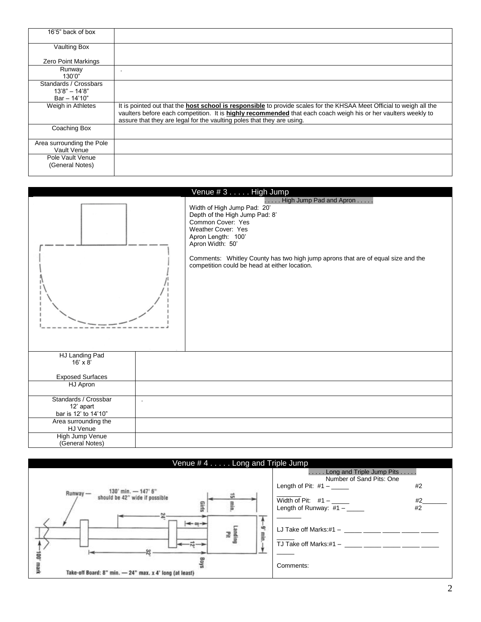| 16'5" back of box                        |                                                                                                                                                                                                                                                                                                                         |
|------------------------------------------|-------------------------------------------------------------------------------------------------------------------------------------------------------------------------------------------------------------------------------------------------------------------------------------------------------------------------|
| <b>Vaulting Box</b>                      |                                                                                                                                                                                                                                                                                                                         |
| <b>Zero Point Markings</b>               |                                                                                                                                                                                                                                                                                                                         |
| Runway<br>130'0"                         |                                                                                                                                                                                                                                                                                                                         |
| Standards / Crossbars<br>$13'8" - 14'8"$ |                                                                                                                                                                                                                                                                                                                         |
| $Bar - 14'10"$                           |                                                                                                                                                                                                                                                                                                                         |
| Weigh in Athletes                        | It is pointed out that the <b>host school is responsible</b> to provide scales for the KHSAA Meet Official to weigh all the<br>vaulters before each competition. It is highly recommended that each coach weigh his or her vaulters weekly to<br>assure that they are legal for the vaulting poles that they are using. |
| Coaching Box                             |                                                                                                                                                                                                                                                                                                                         |
| Area surrounding the Pole<br>Vault Venue |                                                                                                                                                                                                                                                                                                                         |
| Pole Vault Venue<br>(General Notes)      |                                                                                                                                                                                                                                                                                                                         |



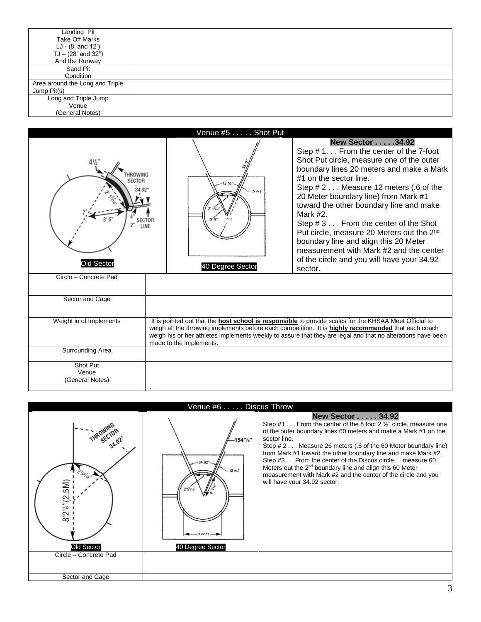| Landing Pit                     |  |
|---------------------------------|--|
| <b>Take Off Marks</b>           |  |
| LJ - (8' and 12')               |  |
| $TJ - (28'$ and $32'')$         |  |
| And the Runway                  |  |
| Sand Pit                        |  |
| Condition                       |  |
| Area around the Long and Triple |  |
| Jump Pit(s)                     |  |
| Long and Triple Jump            |  |
| Venue                           |  |
| (General Notes)                 |  |



![](_page_2_Figure_2.jpeg)